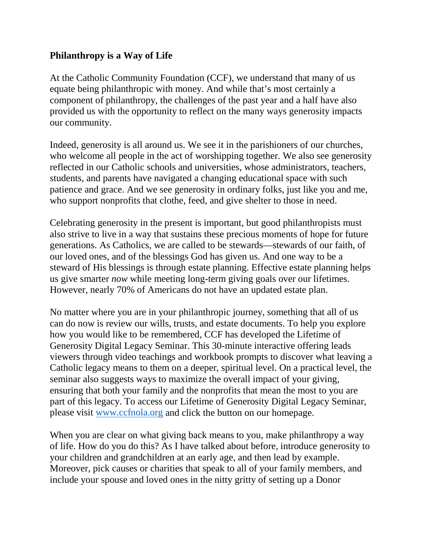## **Philanthropy is a Way of Life**

At the Catholic Community Foundation (CCF), we understand that many of us equate being philanthropic with money. And while that's most certainly a component of philanthropy, the challenges of the past year and a half have also provided us with the opportunity to reflect on the many ways generosity impacts our community.

Indeed, generosity is all around us. We see it in the parishioners of our churches, who welcome all people in the act of worshipping together. We also see generosity reflected in our Catholic schools and universities, whose administrators, teachers, students, and parents have navigated a changing educational space with such patience and grace. And we see generosity in ordinary folks, just like you and me, who support nonprofits that clothe, feed, and give shelter to those in need.

Celebrating generosity in the present is important, but good philanthropists must also strive to live in a way that sustains these precious moments of hope for future generations. As Catholics, we are called to be stewards—stewards of our faith, of our loved ones, and of the blessings God has given us. And one way to be a steward of His blessings is through estate planning. Effective estate planning helps us give smarter *now* while meeting long-term giving goals over our lifetimes. However, nearly 70% of Americans do not have an updated estate plan.

No matter where you are in your philanthropic journey, something that all of us can do now is review our wills, trusts, and estate documents. To help you explore how you would like to be remembered, CCF has developed the Lifetime of Generosity Digital Legacy Seminar. This 30-minute interactive offering leads viewers through video teachings and workbook prompts to discover what leaving a Catholic legacy means to them on a deeper, spiritual level. On a practical level, the seminar also suggests ways to maximize the overall impact of your giving, ensuring that both your family and the nonprofits that mean the most to you are part of this legacy. To access our Lifetime of Generosity Digital Legacy Seminar, please visit [www.ccfnola.org](http://www.ccfnola.org/) and click the button on our homepage.

When you are clear on what giving back means to you, make philanthropy a way of life. How do you do this? As I have talked about before, introduce generosity to your children and grandchildren at an early age, and then lead by example. Moreover, pick causes or charities that speak to all of your family members, and include your spouse and loved ones in the nitty gritty of setting up a Donor